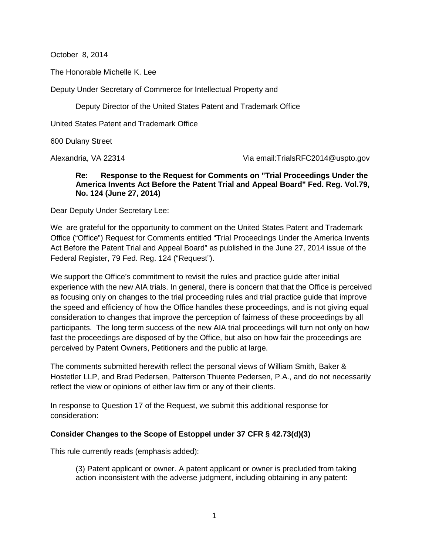October 8, 2014

The Honorable Michelle K. Lee

Deputy Under Secretary of Commerce for Intellectual Property and

Deputy Director of the United States Patent and Trademark Office

United States Patent and Trademark Office

600 Dulany Street

Alexandria, VA 22314 Via email:TrialsRFC2014@uspto.gov

## **Re: Response to the Request for Comments on "Trial Proceedings Under the America Invents Act Before the Patent Trial and Appeal Board" Fed. Reg. Vol.79, No. 124 (June 27, 2014)**

Dear Deputy Under Secretary Lee:

We are grateful for the opportunity to comment on the United States Patent and Trademark Office ("Office") Request for Comments entitled "Trial Proceedings Under the America Invents Act Before the Patent Trial and Appeal Board" as published in the June 27, 2014 issue of the Federal Register, 79 Fed. Reg. 124 ("Request").

We support the Office's commitment to revisit the rules and practice guide after initial experience with the new AIA trials. In general, there is concern that that the Office is perceived as focusing only on changes to the trial proceeding rules and trial practice guide that improve the speed and efficiency of how the Office handles these proceedings, and is not giving equal consideration to changes that improve the perception of fairness of these proceedings by all participants. The long term success of the new AIA trial proceedings will turn not only on how fast the proceedings are disposed of by the Office, but also on how fair the proceedings are perceived by Patent Owners, Petitioners and the public at large.

The comments submitted herewith reflect the personal views of William Smith, Baker & Hostetler LLP, and Brad Pedersen, Patterson Thuente Pedersen, P.A., and do not necessarily reflect the view or opinions of either law firm or any of their clients.

In response to Question 17 of the Request, we submit this additional response for consideration:

## **Consider Changes to the Scope of Estoppel under 37 CFR § 42.73(d)(3)**

This rule currently reads (emphasis added):

(3) Patent applicant or owner. A patent applicant or owner is precluded from taking action inconsistent with the adverse judgment, including obtaining in any patent: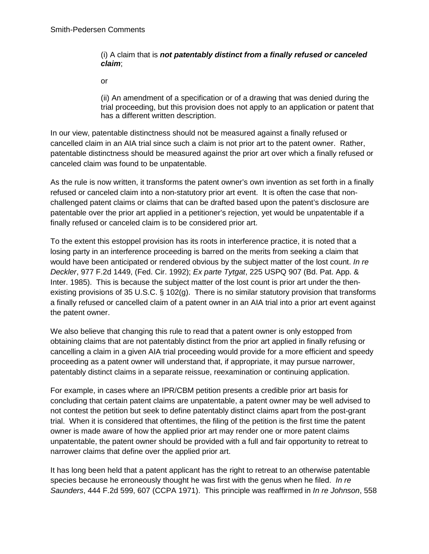## (i) A claim that is *not patentably distinct from a finally refused or canceled claim*;

or

(ii) An amendment of a specification or of a drawing that was denied during the trial proceeding, but this provision does not apply to an application or patent that has a different written description.

In our view, patentable distinctness should not be measured against a finally refused or cancelled claim in an AIA trial since such a claim is not prior art to the patent owner. Rather, patentable distinctness should be measured against the prior art over which a finally refused or canceled claim was found to be unpatentable.

As the rule is now written, it transforms the patent owner's own invention as set forth in a finally refused or canceled claim into a non-statutory prior art event. It is often the case that nonchallenged patent claims or claims that can be drafted based upon the patent's disclosure are patentable over the prior art applied in a petitioner's rejection, yet would be unpatentable if a finally refused or canceled claim is to be considered prior art.

To the extent this estoppel provision has its roots in interference practice, it is noted that a losing party in an interference proceeding is barred on the merits from seeking a claim that would have been anticipated or rendered obvious by the subject matter of the lost count. *In re Deckler*, 977 F.2d 1449, (Fed. Cir. 1992); *Ex parte Tytgat*, 225 USPQ 907 (Bd. Pat. App. & Inter. 1985). This is because the subject matter of the lost count is prior art under the thenexisting provisions of 35 U.S.C. § 102(g). There is no similar statutory provision that transforms a finally refused or cancelled claim of a patent owner in an AIA trial into a prior art event against the patent owner.

We also believe that changing this rule to read that a patent owner is only estopped from obtaining claims that are not patentably distinct from the prior art applied in finally refusing or cancelling a claim in a given AIA trial proceeding would provide for a more efficient and speedy proceeding as a patent owner will understand that, if appropriate, it may pursue narrower, patentably distinct claims in a separate reissue, reexamination or continuing application.

For example, in cases where an IPR/CBM petition presents a credible prior art basis for concluding that certain patent claims are unpatentable, a patent owner may be well advised to not contest the petition but seek to define patentably distinct claims apart from the post-grant trial. When it is considered that oftentimes, the filing of the petition is the first time the patent owner is made aware of how the applied prior art may render one or more patent claims unpatentable, the patent owner should be provided with a full and fair opportunity to retreat to narrower claims that define over the applied prior art.

It has long been held that a patent applicant has the right to retreat to an otherwise patentable species because he erroneously thought he was first with the genus when he filed. *In re Saunders*, 444 F.2d 599, 607 (CCPA 1971). This principle was reaffirmed in *In re Johnson*, 558